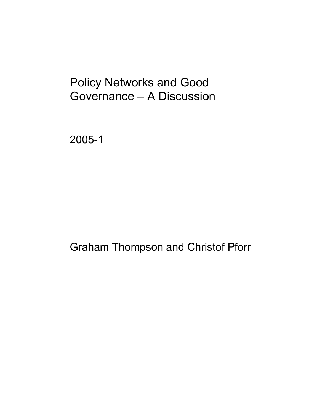# Policy Networks and Good Governance – A Discussion

2005-1

Graham Thompson and Christof Pforr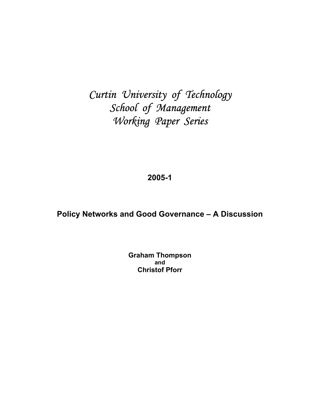## *Curtin University of Technology School of Management Working Paper Series*

### **2005-1**

### **Policy Networks and Good Governance – A Discussion**

**Graham Thompson and Christof Pforr**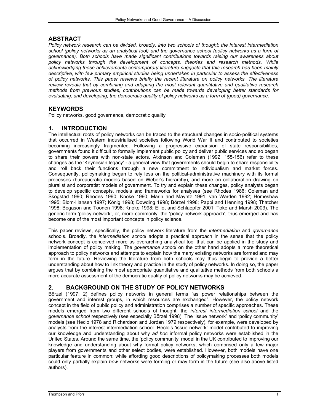#### **ABSTRACT**

*Policy network research can be divided, broadly, into two schools of thought: the interest intermediation*  school (policy networks as an analytical tool) and the governance school (policy networks as a form of *governance). Both schools have made significant contributions towards raising our awareness about policy networks through the development of concepts, theories and research methods. While acknowledging these achievements contemporary literature suggests that this research has been mainly descriptive, with few primary empirical studies being undertaken in particular to assess the effectiveness of policy networks. This paper reviews briefly the recent literature on policy networks. The literature review reveals that by combining and adapting the most relevant quantitative and qualitative research methods from previous studies, contributions can be made towards developing better standards for evaluating, and developing, the democratic quality of policy networks as a form of (good) governance.* 

#### **KEYWORDS**

Policy networks, good governance, democratic quality

#### **1. INTRODUCTION**

The intellectual roots of policy networks can be traced to the structural changes in socio-political systems that occurred in Western industrialised societies following World War II and contributed to societies becoming increasingly fragmented. Following a progressive expansion of state responsibilities, governments found it difficult to formally implement public policy and deliver public services and so began to share their powers with non-state actors. Atkinson and Coleman (1992: 155-156) refer to these changes as the 'Keynesian legacy' - a general view that governments should begin to share responsibility and roll back their functions through a new commitment to individualism and market forces. Consequently, policymaking began to rely less on the political-administrative machinery with its formal processes (bureaucratic models based on Weber's hierarchy), and more on collaboration drawing on pluralist and corporatist models of government. To try and explain these changes, policy analysts began to develop specific concepts, models and frameworks for analyses (see Rhodes 1986; Coleman and Skogstad 1990; Rhodes 1990; Knoke 1990; Marin and Mayntz 1991; van Warden 1992; Homeshaw 1995; Blom-Hansen 1997; König 1998; Dowding 1998; Börzel 1998; Pappi and Henning 1998; Thatcher 1998; Bogason and Toonen 1998; Knoke 1998; Elliot and Schlaepfer 2001; Toke and Marsh 2003). The generic term 'policy network', or, more commonly, the 'policy network approach', thus emerged and has become one of the most important concepts in policy science.

This paper reviews, specifically, the policy network literature from the *intermediation* and *governance* schools. Broadly, the *intermediation school* adopts a practical approach in the sense that the policy network concept is conceived more as overarching analytical tool that can be applied in the study and implementation of policy making. The *governance school* on the other hand adopts a more theoretical approach to policy networks and attempts to explain how the many existing networks are formed and may form in the future. Reviewing the literature from both schools may thus begin to provide a better understanding about how to link theory and practice in the study of policy networks. In doing so, the paper argues that by combining the most appropriate quantitative and qualitative methods from both schools a more accurate assessment of the democratic quality of policy networks may be achieved.

#### **2. BACKGROUND ON THE STUDY OF POLICY NETWORKS**

Börzel (1997: 2) defines policy networks in general terms "as power relationships between the government and interest groups, in which resources are exchanged". However, the policy network concept in the field of public policy and administration comprises a number of specific approaches. These models emerged from two different schools of thought: the *interest intermediation school* and the *governance school* respectively (see especially Börzel 1998). The 'issue network' and 'policy community' models (see Heclo 1978 and Richardson and Jordan 1979 respectively), for example, were developed by analysts from the interest intermediation school. Heclo's 'issue network' model contributed to improving our knowledge and understanding about why *ad hoc* informal policy networks were established in the United States. Around the same time, the 'policy community' model in the UK contributed to improving our knowledge and understanding about why formal policy networks, which comprised only a few major players from governments and other select bodies, were established. However, both models have one particular feature in common: while affording good descriptions of policymaking processes both models could only partially explain *how* networks were forming or may form in the future (see also above listed authors).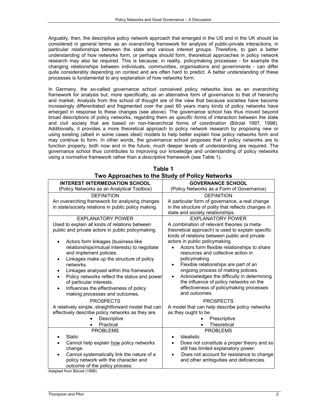Arguably, then, the descriptive policy network approach that emerged in the US and in the UK should be considered in general terms: as an overarching framework for analysis of public-private interactions, in particular relationships between the state and various interest groups. Therefore, to gain a better understanding of how networks form, or perhaps should form, theoretical approaches in policy network research may also be required. This is because, in reality, policymaking processes - for example the changing relationships between individuals, communities, organisations and governments - can differ quite considerably depending on context and are often hard to predict. A better understanding of these processes is fundamental to any explanation of how networks form.

In Germany, the so-called governance school conceived policy networks less as an overarching framework for analysis but, more specifically, as an alternative form of governance to that of hierarchy and market. Analysts from this school of thought are of the view that because societies have become increasingly differentiated and fragmented over the past 60 years many kinds of policy networks have emerged in response to these changes (see above). The governance school has thus moved beyond broad descriptions of policy networks, regarding them as *specific forms* of interaction between the state and civil society that are based on non-hierarchical forms of coordination (Börzel 1997, 1998). Additionally, it provides a more theoretical approach to policy network research by proposing new or using existing (albeit in some cases ideal) models to help better explain how policy networks form and may continue to form. In other words, the governance school proposes that if policy networks are to function properly, both now and in the future, much deeper levels of understanding are required. The governance school thus contributes to improving our knowledge and understanding of policy networks using a *normative* framework rather than a *descriptive* framework (see Table 1).

| <b>INTEREST INTERMEDIATION SCHOOL</b>                   | <b>GOVERNANCE SCHOOL</b>                                |  |
|---------------------------------------------------------|---------------------------------------------------------|--|
| (Policy Networks as an Analytical Toolbox)              | (Policy Networks as a Form of Governance)               |  |
| <b>DEFINITION</b>                                       | <b>DEFINITION</b>                                       |  |
| An overarching framework for analysing changes          | A particular form of governance, a real change          |  |
| in state/society relations in public policy making.     | in the structure of polity that reflects changes in     |  |
|                                                         | state and society relationships.                        |  |
| <b>EXPLANATORY POWER</b>                                | <b>EXPLANATORY POWER</b>                                |  |
| Used to explain all kinds of relations between          | A combination of relevant theories (a meta-             |  |
| public and private actors in public policymaking.       | theoretical approach) is used to explain specific       |  |
|                                                         | kinds of relations between public and private           |  |
| Actors form linkages (business-like                     | actors in public policymaking.                          |  |
| relationships/mutual interests) to negotiate            | Actors form flexible relationships to share             |  |
| and implement policies.                                 | resources and collective action in                      |  |
| Linkages make up the structure of policy<br>٠           | policymaking.                                           |  |
| networks.                                               | Flexible relationships are part of an<br>$\bullet$      |  |
| Linkages analysed within this framework.<br>$\bullet$   | ongoing process of making policies.                     |  |
| Policy networks reflect the status and power            | Acknowledges the difficulty in determining<br>$\bullet$ |  |
| of particular interests.                                | the influence of policy networks on the                 |  |
| Influences the effectiveness of policy<br>$\bullet$     | effectiveness of policymaking processes                 |  |
| making processes and outcomes.                          | and outcomes.                                           |  |
| <b>PROSPECTS</b>                                        | <b>PROSPECTS</b>                                        |  |
| A relatively simple, straightforward model that can     | A model that can help describe policy networks          |  |
| effectively describe policy networks as they are.       | as they ought to be.                                    |  |
| Descriptive                                             | Prescriptive                                            |  |
| Practical<br>$\bullet$                                  | <b>Theoretical</b>                                      |  |
| <b>PROBLEMS</b>                                         | <b>PROBLEMS</b>                                         |  |
| <b>Static</b>                                           | Idealistic<br>$\bullet$                                 |  |
| Cannot help explain how policy networks                 | Does not constitute a proper theory and so<br>$\bullet$ |  |
| change.                                                 | still has limited explanatory power.                    |  |
| Cannot systematically link the nature of a<br>$\bullet$ | Does not account for resistance to change<br>$\bullet$  |  |
| policy network with the character and                   | and other ambiguities and deficiencies.                 |  |
| outcome of the policy process.                          |                                                         |  |

| Table 1                                        |  |
|------------------------------------------------|--|
| Two Approaches to the Study of Policy Networks |  |

Adapted from Börzel (1998)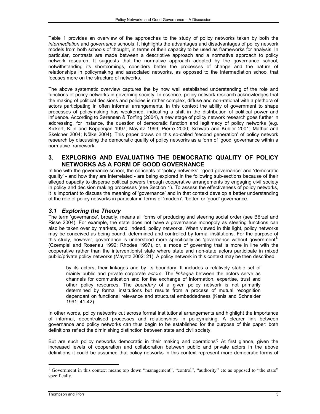Table 1 provides an overview of the approaches to the study of policy networks taken by both the *intermediation* and *governance* schools. It highlights the advantages and disadvantages of policy network models from both schools of thought, in terms of their capacity to be used as frameworks for analysis. In particular, contrasts are made between a descriptive approach and a normative approach to policy network research. It suggests that the normative approach adopted by the governance school, notwithstanding its shortcomings, considers better the processes of change and the nature of relationships in policymaking and associated networks, as opposed to the intermediation school that focuses more on the structure of networks.

The above systematic overview captures the by now well established understanding of the role and functions of policy networks in governing society. In essence, policy network research acknowledges that the making of political decisions and policies is rather complex, diffuse and non-rational with a plethora of actors participating in often informal arrangements. In this context the ability of government to shape processes of policymaking has weakened, indicating a shift in the distribution of political power and influence. According to Sørensen & Torfing (2004), a new stage of policy network research goes further in addressing, for instance, the question of democratic function and legitimacy of policy networks (e.g. Kickert, Klijn and Koppenjan 1997; Mayntz 1999; Pierre 2000; Schwab and Kübler 2001; Mathur and Skelcher 2004; Nölke 2004). This paper draws on this so-called 'second generation' of policy network research by discussing the democratic quality of policy networks as a form of 'good' governance within a normative framework.

#### **3. EXPLORING AND EVALUATING THE DEMOCRATIC QUALITY OF POLICY NETWORKS AS A FORM OF GOOD GOVERNANCE**

In line with the governance school, the concepts of 'policy networks', 'good governance' and 'democratic quality' - and how they are interrelated - are being explored in the following sub-sections because of their alleged capacity to disperse political powers through cooperative arrangements by engaging civil society in policy and decision making processes (see Section 1). To assess the effectiveness of policy networks, it is important to discuss the meaning of 'governance' and in that context develop a better understanding of the role of policy networks in particular in terms of 'modern', 'better' or 'good' governance.

#### *3.1 Exploring the Theory*

The term 'governance', broadly, means all forms of producing and steering social order (see Börzel and Risse 2004). For example, the state does not have a governance monopoly as steering functions can also be taken over by markets, and, indeed, policy networks. When viewed in this light, policy networks may be conceived as being bound, determined and controlled by formal institutions. For the purpose of this study, however, governance is understood more specifically as 'governance without government<sup>1,</sup> (Czempiel and Rosenau 1992; Rhodes 1997), or, a mode of governing that is more in line with the cooperative rather than the interventionist state where state and non-state actors participate in mixed public/private policy networks (Mayntz 2002: 21). A policy network in this context may be then described:

by its actors, their linkages and by its boundary. It includes a relatively stable set of mainly public and private corporate *actors*. The *linkages* between the actors serve as channels for communication and for the exchange of information, expertise, trust and other policy resources. The *boundary* of a given policy network is not primarily determined by formal institutions but results from a process of mutual recognition dependant on functional relevance and structural embeddedness (Kenis and Schneider 1991: 41-42).

In other words, policy networks cut across formal institutional arrangements and highlight the importance of informal, decentralised processes and relationships in policymaking. A clearer link between governance and policy networks can thus begin to be established for the purpose of this paper: both definitions reflect the diminishing distinction between state and civil society.

But are such policy networks democratic in their making and operations? At first glance, given the increased levels of cooperation and collaboration between public and private actors in the above definitions it could be assumed that policy networks in this context represent more democratic forms of

l

<sup>&</sup>lt;sup>1</sup> Government in this context means top down "management", "control", "authority" etc as opposed to "the state" specifically.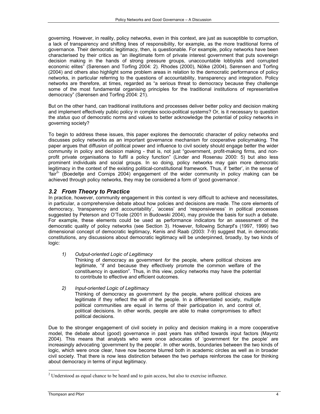governing. However, in reality, policy networks, even in this context, are just as susceptible to corruption, a lack of transparency and shifting lines of responsibility, for example, as the more traditional forms of governance. Their democratic legitimacy, then, is questionable. For example, policy networks have been characterised by their critics as "an illegitimate form of private interest government that puts sovereign decision making in the hands of strong pressure groups, unaccountable lobbyists and corrupted economic elites" (Sørensen and Torfing 2004: 2). Rhodes (2000), Nölke (2004), Sørensen and Torfing (2004) and others also highlight some problem areas in relation to the democratic performance of policy networks, in particular referring to the questions of accountability, transparency and integration. Policy networks are therefore, at times, regarded as "a serious threat to democracy because they challenge some of the most fundamental organising principles for the traditional institutions of representative democracy" (Sørensen and Torfing 2004: 21).

But on the other hand, can traditional institutions and processes deliver better policy and decision making and implement effectively public policy in complex socio-political systems? Or, is it necessary to question the *status quo* of democratic norms and values to better acknowledge the potential of policy networks in governing society?

To begin to address these issues, this paper explores the democratic character of policy networks and discusses policy networks as an important governance mechanism for cooperative policymaking. The paper argues that diffusion of political power and influence to civil society should engage better the wider community in policy and decision making - that is, not just "government, profit-making firms, and nonprofit private organisations to fulfil a policy function" (Linder and Rosenau 2000: 5) but also less prominent individuals and social groups. In so doing, policy networks may gain more democratic legitimacy in the context of the existing political-constitutional framework. Thus, if 'better', in the sense of 'fair<sup>2</sup>' (Boedeltje and Cornips 2004) engagement of the wider community in policy making can be achieved through policy networks, they may be considered a form of 'good governance'.

#### *3.2 From Theory to Practice*

In practice, however, community engagement in this context is very difficult to achieve and necessitates, in particular, a comprehensive debate about how policies and decisions are made. The core elements of democracy, 'transparency and accountability', 'access' and 'responsiveness' in political processes suggested by Peterson and O'Toole (2001 in Budowski 2004), may provide the basis for such a debate. For example, these elements could be used as performance indicators for an assessment of the democratic quality of policy networks (see Section 3). However, following Scharpf's (1997, 1999) two dimensional concept of democratic legitimacy, Kenis and Raab (2003: 7-9) suggest that, in democratic constitutions, any discussions about democratic legitimacy will be underpinned, broadly, by two kinds of logic:

*1) Output-oriented Logic of Legitimacy* 

Thinking of democracy as government *for* the people, where political choices are legitimate, "if and because they effectively promote the common welfare of the constituency in question". Thus, in this view, policy networks may have the potential to contribute to effective and efficient outcomes.

*2) Input-oriented Logic of Legitimacy* 

Thinking of democracy as government *by* the people, where political choices are legitimate if they reflect the will of the people. In a differentiated society, multiple political communities are equal in terms of their participation in, and control of, political decisions. In other words, people are able to make compromises to affect political decisions.

Due to the stronger engagement of civil society in policy and decision making in a more cooperative model, the debate about (good) governance in past years has shifted towards input factors (Mayntz 2004). This means that analysts who were once advocates of 'government for the people' are increasingly advocating 'government by the people'. In other words, boundaries between the two kinds of logic, which were once clear, have now become blurred both in academic circles as well as in broader civil society. That there is now less distinction between the two perhaps reinforces the case for thinking about democracy in terms of input legitimacy.

l

 $2^2$  Understood as equal chance to be heard and to gain access, but also to exercise influence.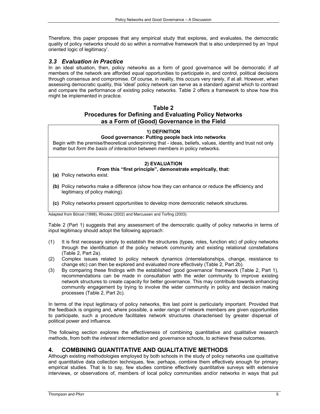Therefore, this paper proposes that any empirical study that explores, and evaluates, the democratic quality of policy networks should do so within a normative framework that is also underpinned by an 'input oriented logic of legitimacy'.

#### *3.3 Evaluation in Practice*

In an ideal situation, then, policy networks as a form of good governance will be democratic if *all* members of the network are afforded *equal* opportunities to participate in, and control, political decisions through consensus and compromise. Of course, in reality, this occurs very rarely, if at all. However, when assessing democratic quality, this 'ideal' policy network can serve as a standard against which to contrast and compare the performance of existing policy networks. Table 2 offers a framework to show how this might be implemented in practice.

#### **Table 2**

#### **Procedures for Defining and Evaluating Policy Networks as a Form of (Good) Governance in the Field**

#### **1) DEFINITION**

#### **Good governance: Putting people back into networks**

Begin with the premise/theoretical underpinning that - ideas, beliefs, values, identity and trust not only matter but *form the basis of interaction* between members in policy networks.

#### **2) EVALUATION**

**From this "first principle", demonstrate empirically, that:**

- **(a)** Policy networks exist.
- **(b)** Policy networks make a difference (show how they can enhance or reduce the efficiency and legitimacy of policy making).
- **(c)** Policy networks present opportunities to develop more democratic network structures.

Adapted from Börzel (1998), Rhodes (2002) and Marcussen and Torfing (2003).

Table 2 (Part 1) suggests that any assessment of the democratic quality of policy networks in terms of input legitimacy should adopt the following approach:

- (1) It is first necessary simply to establish the structures (types, roles, function etc) of policy networks through the identification of the policy network community and existing relational constellations (Table 2, Part 2a).
- (2) Complex issues related to policy network dynamics (interrelationships, change, resistance to change etc) can then be explored and evaluated more effectively (Table 2, Part 2b).
- (3) By comparing these findings with the established 'good governance' framework (Table 2, Part 1), recommendations can be made in consultation with the wider community to improve existing network structures to create capacity for better governance. This may contribute towards enhancing community engagement by trying to involve the wider community in policy and decision making processes (Table 2, Part 2c).

In terms of the input legitimacy of policy networks, this last point is particularly important. Provided that the feedback is ongoing and, where possible, a wider range of network members are given opportunities to participate, such a procedure facilitates network structures characterised by greater dispersal of political power and influence.

The following section explores the effectiveness of combining quantitative and qualitative research methods, from both the *interest intermediation* and *governance* schools, to achieve these outcomes.

#### **4. COMBINING QUANTITATIVE AND QUALITATIVE METHODS**

Although existing methodologies employed by both schools in the study of policy networks use qualitative and quantitative data collection techniques, few, perhaps, combine them effectively enough for primary empirical studies. That is to say, few studies combine effectively quantitative surveys with extensive interviews, or observations of, members of local policy communities and/or networks in ways that put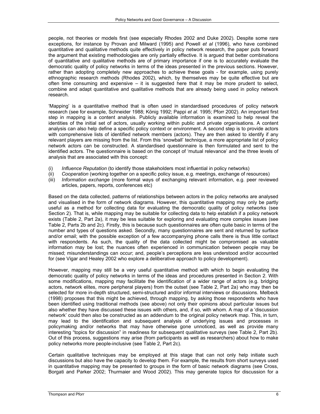people, not theories or models first (see especially Rhodes 2002 and Duke 2002). Despite some rare exceptions, for instance by Provan and Milward (1995) and Powell *et al* (1996), who have combined quantitative and qualitative methods quite effectively in policy network research, the paper puts forward the argument that existing methodologies are only partially effective. It is argued that better combinations of quantitative and qualitative methods are of primary importance if one is to accurately evaluate the democratic quality of policy networks in terms of the ideas presented in the previous sections. However, rather than adopting completely new approaches to achieve these goals - for example, using purely ethnographic research methods (Rhodes 2002), which, by themselves may be quite effective but are often time consuming and expensive – it is suggested here that it may be more prudent to select, combine and adapt quantitative and qualitative methods that are already being used in policy network research.

'Mapping' is a quantitative method that is often used in standardised procedures of policy network research (see for example, Schneider 1988; König 1992; Pappi *et al*. 1995; Pforr 2002). An important first step in mapping is a content analysis. Publicly available information is examined to help reveal the identities of the initial set of actors, usually working within public and private organisations. A content analysis can also help define a specific policy context or environment. A second step is to provide actors with comprehensive lists of identified network members (actors). They are then asked to identify if any relevant players are missing from the list. From this 'snowball' technique, a more appropriate list of policy network actors can be constructed. A standardised questionnaire is then formulated and sent to the identified actors. The questionnaire is based on the concept of 'mutual relevance' and the three levels of analysis that are associated with this concept:

- (i) *Influence Reputation* (to identify those stakeholders most influential in policy networks)
- (ii) *Cooperation* (working together on a specific policy issue, e.g. meetings, exchange of resources)
- (iii) *Information exchange* (more formal ways of exchanging relevant information, e.g. peer reviewed articles, papers, reports, conferences etc)

Based on the data collected, patterns of relationships between actors in the policy networks are analysed and visualised in the form of network diagrams. However, this quantitative mapping may only be partly useful as a method for collecting data for evaluating the democratic quality of policy networks (see Section 2). That is, while mapping may be suitable for collecting data to help establish if a policy network exists (Table 2, Part 2a), it may be less suitable for exploring and evaluating more complex issues (see Table 2, Parts 2b and 2c). Firstly, this is because such questionnaires are often quite basic in terms of the number and types of questions asked. Secondly, many questionnaires are sent and returned by surface and/or email; with the possible exception of a few accompanying phone calls there is thus little contact with respondents. As such, the quality of the data collected might be compromised as valuable information may be lost; the nuances often experienced in communication between people may be missed; misunderstandings can occur; and, people's perceptions are less understood and/or accounted for (see Vigar and Healey 2002 who explore a deliberative approach to policy development).

However, mapping may still be a very useful quantitative method with which to begin evaluating the democratic quality of policy networks in terms of the ideas and procedures presented in Section 2. With some modifications, mapping may facilitate the identification of a wider range of actors (e.g. bridging actors, network elites, more peripheral players) from the outset (see Table 2, Part 2a) who may then be selected for more in-depth structured, semi-structured and/or informal interviews or discussions. Melbeck (1998) proposes that this might be achieved, through mapping, by asking those respondents who have been identified using traditional methods (see above) not only their opinions about particular issues but also whether they have discussed these issues with others, and, if so, with whom. A map of a 'discussion network' could then also be constructed as an addendum to the original policy network map. This, in turn, may lead to the identification and subsequent analysis of underlying issues and processes in policymaking and/or networks that may have otherwise gone unnoticed, as well as provide many interesting "topics for discussion" in readiness for subsequent qualitative surveys (see Table 2, Part 2b). Out of this process, suggestions may arise (from participants as well as researchers) about how to make policy networks more people-inclusive (see Table 2, Part 2c).

Certain qualitative techniques may be employed at this stage that can not only help initiate such discussions but also have the capacity to develop them. For example, the results from short surveys used in quantitative mapping may be presented to groups in the form of basic network diagrams (see Cross, Borgati and Parker 2002; Thurmaier and Wood 2002). This may generate topics for discussion for a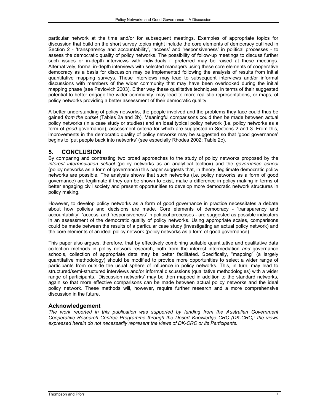particular network at the time and/or for subsequent meetings. Examples of appropriate topics for discussion that build on the short survey topics might include the core elements of democracy outlined in Section 2 - 'transparency and accountability', 'access' and 'responsiveness' in political processes - to assess the democratic quality of policy networks. The possibility of follow-up meetings to discuss further such issues or in-depth interviews with individuals if preferred may be raised at these meetings. Alternatively, formal in-depth interviews with selected managers using these core elements of cooperative democracy as a basis for discussion may be implemented following the analysis of results from initial quantitative mapping surveys. These interviews may lead to subsequent interviews and/or informal discussions with members of the wider community that may have been overlooked during the initial mapping phase (see Pavlovich 2003). Either way these qualitative techniques, in terms of their suggested potential to better engage the wider community, may lead to more realistic representations, or maps, of policy networks providing a better assessment of their democratic quality.

A better understanding of policy networks, the people involved and the problems they face could thus be gained *from the outset* (Tables 2a and 2b). Meaningful comparisons could then be made between actual policy networks (in a case study or studies) and an ideal typical policy network (i.e. policy networks as a form of *good* governance), assessment criteria for which are suggested in Sections 2 and 3. From this, improvements in the democratic quality of policy networks may be suggested so that 'good governance' begins to 'put people back into networks' (see especially Rhodes 2002; Table 2c).

#### **5. CONCLUSION**

By comparing and contrasting two broad approaches to the study of policy networks proposed by the *interest intermediation school* (policy networks as an analytical toolbox) and the *governance school* (policy networks as a form of governance) this paper suggests that, in theory, legitimate democratic policy networks are possible. The analysis shows that such networks (i.e. policy networks as a form of good governance) are legitimate if they can be shown to exist, make a difference in policy making in terms of better engaging civil society and present opportunities to develop more democratic network structures in policy making.

However, to develop policy networks as a form of good governance in practice necessitates a debate about how policies and decisions are made. Core elements of democracy - 'transparency and accountability', 'access' and 'responsiveness' in political processes - are suggested as possible indicators in an assessment of the democratic quality of policy networks. Using appropriate scales, comparisons could be made between the results of a particular case study (investigating an actual policy network) and the core elements of an ideal policy network (policy networks as a form of good governance).

This paper also argues, therefore, that by effectively combining suitable quantitative and qualitative data collection methods in policy network research, both from the interest intermediation *and* governance schools, collection of appropriate data may be better facilitated. Specifically, "mapping" (a largely quantitative methodology) should be modified to provide more opportunities to select a wider range of participants from outside the usual sphere of influence in policy networks. This, in turn, may lead to structured/semi-structured interviews and/or informal discussions (qualitative methodologies) with a wider range of participants. 'Discussion networks' may be then mapped in addition to the standard networks, again so that more effective comparisons can be made between actual policy networks and the ideal policy network. These methods will, however, require further research and a more comprehensive discussion in the future.

#### **Acknowledgement**

*The work reported in this publication was supported by funding from the Australian Government Cooperative Research Centres Programme through the Desert Knowledge CRC (DK-CRC); the views expressed herein do not necessarily represent the views of DK-CRC or its Participants.*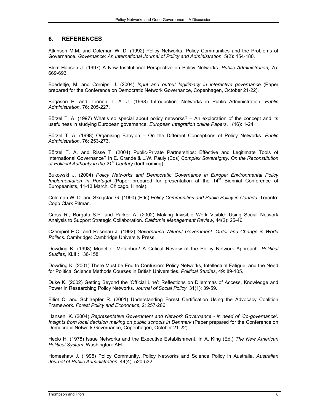#### **6. REFERENCES**

Atkinson M.M. and Coleman W. D. (1992) Policy Networks, Policy Communities and the Problems of Governance. *Governance: An International Journal of Policy and Administration*, 5(2): 154-180.

Blom-Hansen J. (1997) A New Institutional Perspective on Policy Networks. *Public Administration,* 75: 669-693.

Boedeltje, M. and Cornips, J. (2004) *Input and output legitimacy in interactive governance* (Paper prepared for the Conference on Democratic Network Governance, Copenhagen, October 21-22).

Bogason P. and Toonen T. A. J. (1998) Introduction: Networks in Public Administration. *Public Administration*, 76: 205-227.

Börzel T. A. (1997) What's so special about policy networks? – An exploration of the concept and its usefulness in studying European governance. *European Integration online Papers*, 1(16): 1-24.

Börzel T. A. (1998) Organising Babylon – On the Different Conceptions of Policy Networks. *Public Administration*, 76: 253-273.

Börzel T. A. and Risse T. (2004) Public-Private Partnerships: Effective and Legitimate Tools of International Governance? In E. Grande & L.W. Pauly (Eds) *Complex Sovereignty: On the Reconstitution of Political Authority in the 21st Century* (forthcoming).

Bukowski J. (2004) *Policy Networks and Democratic Governance in Europe: Environmental Policy Implementation in Portugal* (Paper prepared for presentation at the 14<sup>th</sup> Biennial Conference of Europeanists, 11-13 March, Chicago, Illinois).

Coleman W. D. and Skogstad G. (1990) (Eds) *Policy Communities and Public Policy in Canada*. Toronto: Copp Clark Pitman.

Cross R., Borgatti S.P. and Parker A. (2002) Making Invisible Work Visible: Using Social Network Analysis to Support Strategic Collaboration. *California Management Review*, 44(2): 25-46.

Czempiel E.O. and Rosenau J. (1992) *Governance Without Government: Order and Change in World Politics.* Cambridge: Cambridge University Press.

Dowding K. (1998) Model or Metaphor? A Critical Review of the Policy Network Approach. *Political Studies*, XLIII: 136-158.

Dowding K. (2001) There Must be End to Confusion: Policy Networks, Intellectual Fatigue, and the Need for Political Science Methods Courses in British Universities. *Political Studies*, 49: 89-105.

Duke K. (2002) Getting Beyond the 'Official Line': Reflections on Dilemmas of Access, Knowledge and Power in Researching Policy Networks. *Journal of Social Policy*, 31(1): 39-59.

Elliot C. and Schlaepfer R. (2001) Understanding Forest Certification Using the Advocacy Coalition Framework. *Forest Policy and Economics*, 2: 257-266.

Hansen, K. (2004) *Representative Government and Network Governance - in need of 'Co-governance'. Insights from local decision making on public schools in Denmark* (Paper prepared for the Conference on Democratic Network Governance, Copenhagen, October 21-22).

Heclo H. (1978) Issue Networks and the Executive Establishment. In A. King (Ed.) *The New American Political System.* Washington: AEI.

Homeshaw J. (1995) Policy Community, Policy Networks and Science Policy in Australia. *Australian Journal of Public Administration*, 44(4): 520-532.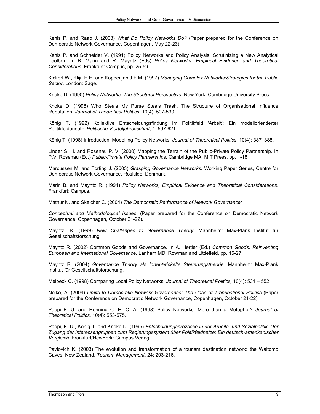Kenis P. and Raab J. (2003) *What Do Policy Networks Do?* (Paper prepared for the Conference on Democratic Network Governance, Copenhagen, May 22-23).

Kenis P. and Schneider V. (1991) Policy Networks and Policy Analysis: Scrutinizing a New Analytical Toolbox. In B. Marin and R. Mayntz (Eds) *Policy Networks. Empirical Evidence and Theoretical Considerations.* Frankfurt: Campus, pp. 25-59.

Kickert W., Klijn E.H. and Koppenjan J.F.M. (1997) *Managing Complex Networks:Strategies for the Public Sector*. London: Sage.

Knoke D. (1990) *Policy Networks: The Structural Perspective*. New York: Cambridge University Press.

Knoke D. (1998) Who Steals My Purse Steals Trash. The Structure of Organisational Influence Reputation. *Journal of Theoretical Politics*, 10(4): 507-530.

König T. (1992) Kollektive Entscheidungsfindung im Politikfeld 'Arbeit': Ein modellorientierter Politikfeldansatz. *Politische Vierteljahresschrift*, 4: 597-621.

König T. (1998) Introduction. Modelling Policy Networks. *Journal of Theoretical Politics,* 10(4): 387–388.

Linder S. H. and Rosenau P. V. (2000) Mapping the Terrain of the Public-Private Policy Partnership. In P.V. Rosenau (Ed.) *Public-Private Policy Partnerships.* Cambridge MA: MIT Press, pp. 1-18.

Marcussen M. and Torfing J. (2003) *Grasping Governance Networks.* Working Paper Series, Centre for Democratic Network Governance, Roskilde, Denmark.

Marin B. and Mayntz R. (1991) *Policy Networks, Empirical Evidence and Theoretical Considerations*. Frankfurt: Campus.

Mathur N. and Skelcher C. (2004) *The Democratic Performance of Network Governance:* 

*Conceptual and Methodological Issues.* **(**Paper prepared for the Conference on Democratic Network Governance, Copenhagen, October 21-22).

Mayntz, R. (1999) *New Challenges to Governance Theory*. Mannheim: Max-Plank Institut für Gesellschaftsforschung.

Mayntz R. (2002) Common Goods and Governance. In A. Hertier (Ed.) *Common Goods. Reinventing European and International Governance*. Lanham MD: Rowman and Littlefield, pp. 15-27.

Mayntz R. (2004) *Governance Theory als fortentwickelte Steuerungstheorie*. Mannheim: Max-Plank Institut für Gesellschaftsforschung.

Melbeck C. (1998) Comparing Local Policy Networks. *Journal of Theoretical Politics,* 10(4): 531 – 552.

Nölke, A. (2004) *Limits to Democratic Network Governance: The Case of Transnational Politics* (Paper prepared for the Conference on Democratic Network Governance, Copenhagen, October 21-22).

Pappi F. U. and Henning C. H. C. A. (1998) Policy Networks: More than a Metaphor? *Journal of Theoretical Politics*, 10(4): 553-575.

Pappi, F. U., König T. and Knoke D. (1995) *Entscheidungsprozesse in der Arbeits- und Sozialpolitik. Der Zugang der Interessengruppen zum Regierungssystem über Politikfeldnetze: Ein deutsch-amerikanischer Vergleich*. Frankfurt/NewYork: Campus Verlag.

Pavlovich K. (2003) The evolution and transformation of a tourism destination network: the Waitomo Caves, New Zealand. *Tourism Management*, 24: 203-216.